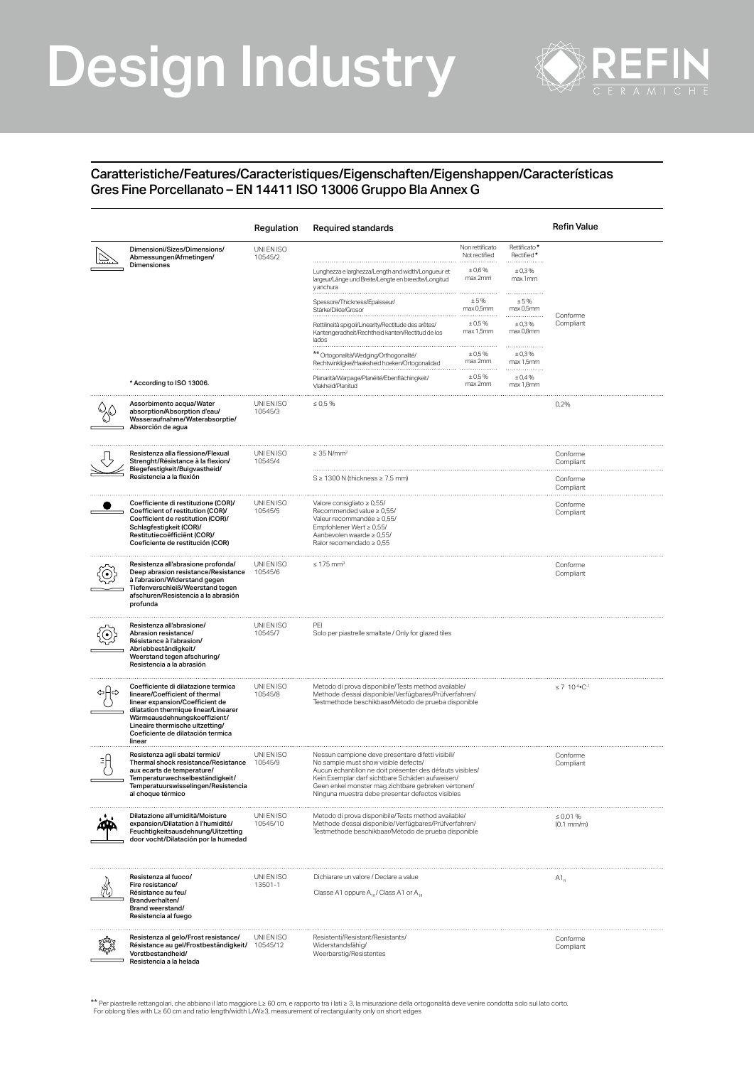## Design Industry



## Caratteristiche/Features/Caracteristiques/Eigenschaften/Eigenshappen/Características Gres Fine Porcellanato – EN 14411 ISO 13006 Gruppo Bla Annex G

|                                                                                                                                                                                                                                                                    | Regulation             | Required standards                                                                                                                                                                                                                                                                                                   |                                                            |                                                | <b>Refin Value</b>    |
|--------------------------------------------------------------------------------------------------------------------------------------------------------------------------------------------------------------------------------------------------------------------|------------------------|----------------------------------------------------------------------------------------------------------------------------------------------------------------------------------------------------------------------------------------------------------------------------------------------------------------------|------------------------------------------------------------|------------------------------------------------|-----------------------|
| Dimensioni/Sizes/Dimensions/<br>Abmessungen/Afmetingen/<br>Dimensiones                                                                                                                                                                                             | UNI EN ISO<br>10545/2  | Lunghezza e larghezza/Length and width/Longueur et                                                                                                                                                                                                                                                                   | Non rettificato<br>Not rectified<br>.<br>± 0,6%<br>max 2mm | Rettificato*<br>Rectified*<br>±0,3%<br>max 1mm |                       |
|                                                                                                                                                                                                                                                                    |                        | largeur/Länge und Breite/Lengte en breedte/Longitud<br>y anchura<br>Spessore/Thickness/Epaisseur                                                                                                                                                                                                                     | ±5%                                                        | <br>±5%                                        |                       |
|                                                                                                                                                                                                                                                                    |                        | Stärke/Dikte/Grosor                                                                                                                                                                                                                                                                                                  | max 0,5mm                                                  | max 0,5mm                                      | Conforme              |
|                                                                                                                                                                                                                                                                    |                        | Rettilineità spigoli/Linearity/Rectitude des arêtes/<br>Kantengeradheit/Rechtheid kanten/Rectitud de los<br>lados                                                                                                                                                                                                    | ± 0.5%<br>max 1,5mm                                        | ±0,3%<br>max 0,8mm<br>.                        | Compliant             |
|                                                                                                                                                                                                                                                                    |                        | ** Ortogonalità/Wedging/Orthogonalité/<br>Rechtwinkligkei/Haaksheid hoeken/Ortogonalidad                                                                                                                                                                                                                             | ± 0.5%<br>max 2mm                                          | ±0,3%<br>max 1,5mm                             |                       |
| * According to ISO 13006.                                                                                                                                                                                                                                          |                        | Planarità/Warpage/Planéité/Ebenflächingkeit/<br>Vlakheid/Planitud                                                                                                                                                                                                                                                    | ± 0.5%<br>max 2mm                                          | ± 0,4%<br>max 1,8mm                            |                       |
| Assorbimento acqua/Water<br>absorption/Absorption d'eau/<br>Wasseraufnahme/Waterabsorptie/<br>Absorción de agua                                                                                                                                                    | UNI EN ISO<br>10545/3  | $\leq 0.5 \%$                                                                                                                                                                                                                                                                                                        |                                                            |                                                | 0,2%                  |
| Resistenza alla flessione/Flexual<br>Strenght/Résistance à la flexion/<br>Biegefestigkeit/Buigvastheid/<br>Resistencia a la flexión                                                                                                                                | UNI EN ISO<br>10545/4  | $\geq$ 35 N/mm <sup>2</sup>                                                                                                                                                                                                                                                                                          |                                                            |                                                | Conforme<br>Compliant |
|                                                                                                                                                                                                                                                                    |                        | $S \geq 1300$ N (thickness $\geq 7.5$ mm)                                                                                                                                                                                                                                                                            |                                                            |                                                | Conforme<br>Compliant |
| Coefficiente di restituzione (COR)/<br>Coefficient of restitution (COR)/<br>Coefficient de restitution (COR)/<br>Schlagfestigkeit (COR)/<br>Restitutiecoëfficiënt (COR)/<br>Coeficiente de restitución (COR)                                                       | UNI EN ISO<br>10545/5  | Valore consigliato ≥ 0,55/<br>Recommended value $\geq 0.55/$<br>Valeur recommandée ≥ 0,55/<br>Empfohlener Wert ≥ 0,55/<br>Aanbevolen waarde ≥ 0,55/<br>Ralor recomendado $\geq 0.55$                                                                                                                                 |                                                            |                                                | Conforme<br>Compliant |
| Resistenza all'abrasione profonda/<br>Deep abrasion resistance/Resistance<br>à l'abrasion/Widerstand gegen<br>Tiefenverschleiß/Weerstand tegen<br>afschuren/Resistencia a la abrasión<br>profunda                                                                  | UNI EN ISO<br>10545/6  | $< 175$ mm <sup>3</sup>                                                                                                                                                                                                                                                                                              |                                                            |                                                | Conforme<br>Compliant |
| Resistenza all'abrasione/<br>Abrasion resistance/<br>Résistance à l'abrasion/<br>Abriebbeständigkeit/<br>Weerstand tegen afschuring/<br>Resistencia a la abrasión                                                                                                  | UNI EN ISO<br>10545/7  | PEI<br>Solo per piastrelle smaltate / Only for glazed tiles                                                                                                                                                                                                                                                          |                                                            |                                                |                       |
| Coefficiente di dilatazione termica<br>lineare/Coefficient of thermal<br>linear expansion/Coefficient de<br>dilatation thermique linear/Linearer<br>Wärmeausdehnungskoeffizient/<br>Lineaire thermische uitzetting/<br>Coeficiente de dilatación termica<br>linear | UNI EN ISO<br>10545/8  | Metodo di prova disponibile/Tests method available/<br>Methode d'essai disponible/Verfügbares/Prüfverfahren/<br>Testmethode beschikbaar/Método de prueba disponible                                                                                                                                                  |                                                            |                                                | $\leq 7$ 10-6. C-1    |
| Resistenza agli sbalzi termici/<br>Thermal shock resistance/Resistance<br>aux ecarts de temperature/<br>Temperaturwechselbeständigkeit/<br>lemperatuurswisselingen/Resistencia<br>al choque térmico                                                                | UNI EN ISO<br>10545/9  | Nessun campione deve presentare difetti visibili/<br>No sample must show visible defects/<br>Aucun échantillon ne doit présenter des défauts visibles/<br>Kein Exemplar darf sichtbare Schäden aufweisen/<br>Geen enkel monster mag zichtbare gebreken vertonen.<br>Ninguna muestra debe presentar defectos visibles |                                                            | Conforme<br>Compliant                          |                       |
| Dilatazione all'umidità/Moisture<br>expansion/Dilatation à l'humidité/<br>Feuchtigkeitsausdehnung/Uitzetting<br>door vocht/Dilatación por la humedad                                                                                                               | UNI EN ISO<br>10545/10 | Metodo di prova disponibile/Tests method available/<br>Methode d'essai disponible/Verfügbares/Prüfverfahren/<br>Testmethode beschikbaar/Método de prueba disponible                                                                                                                                                  |                                                            | $\leq 0.01 \%$<br>$(0,1 \text{ mm/m})$         |                       |
| Resistenza al fuoco/<br>Fire resistance/<br>Résistance au feu/<br>Brandverhalten/<br>Brand weerstand/<br>Resistencia al fuego                                                                                                                                      | UNI EN ISO<br>13501-1  | Dichiarare un valore / Declare a value<br>Classe A1 oppure A <sub>16</sub> / Class A1 or A <sub>16</sub>                                                                                                                                                                                                             |                                                            | $A1_{a}$                                       |                       |
| Resistenza al gelo/Frost resistance/<br>Résistance au gel/Frostbeständigkeit/<br>Vorstbestandheid/<br>Resistencia a la helada                                                                                                                                      | UNI EN ISO<br>10545/12 | Resistenti/Resistant/Resistants<br>Widerstandsfähig/<br>Weerbarstig/Resistentes                                                                                                                                                                                                                                      |                                                            |                                                | Conforme<br>Compliant |

\*\* Per piastrelle rettangolari, che abbiano il lato maggiore L≥ 60 cm, e rapporto tra i lati ≥ 3, la misurazione della ortogonalità deve venire condotta solo sul lato corto<br>For oblong tiles with L≥ 60 cm and ratio length/